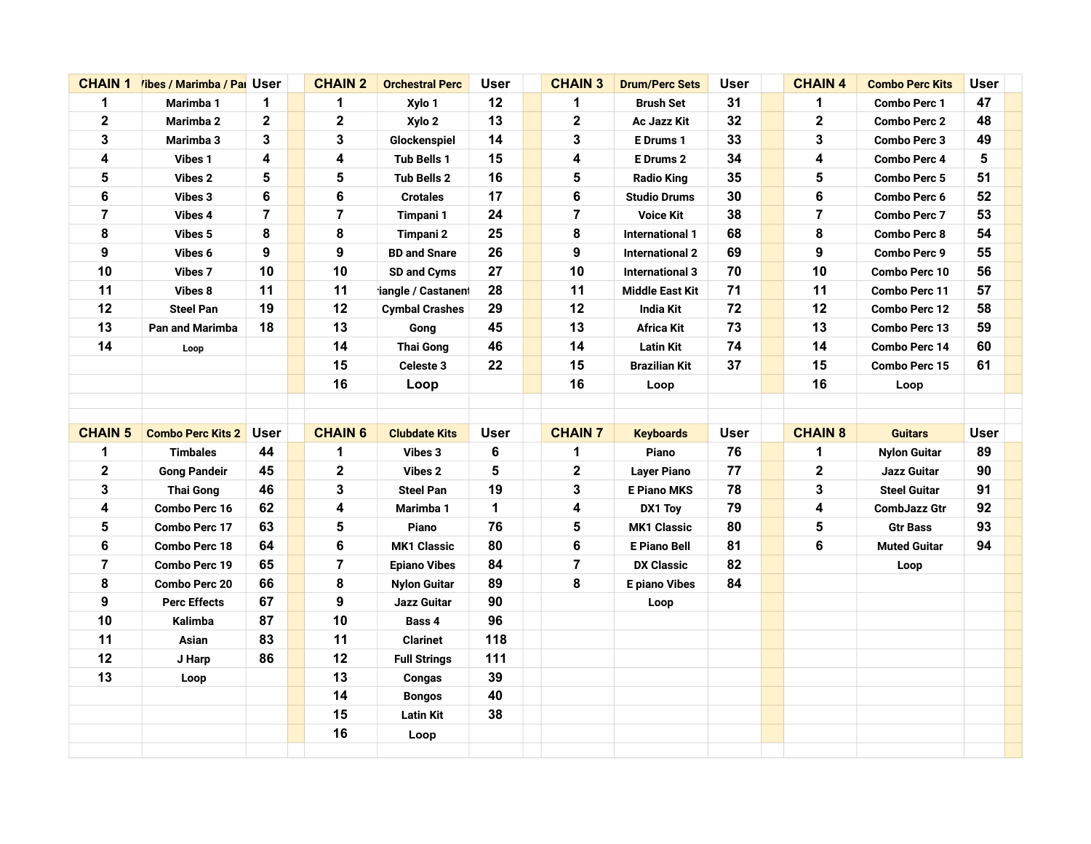| <b>CHAIN 1</b> | <i>libes / Marimba / Pal User</i> |                | <b>CHAIN 2</b>          | <b>Orchestral Perc</b> | <b>User</b> | <b>CHAIN 3</b>          | <b>Drum/Perc Sets</b>  | <b>User</b> | <b>CHAIN 4</b>          | <b>Combo Perc Kits</b> | <b>User</b> |  |
|----------------|-----------------------------------|----------------|-------------------------|------------------------|-------------|-------------------------|------------------------|-------------|-------------------------|------------------------|-------------|--|
| $\mathbf 1$    | Marimba 1                         | 1              | 1                       | Xylo 1                 | 12          | 1                       | <b>Brush Set</b>       | 31          | 1                       | <b>Combo Perc 1</b>    | 47          |  |
| $\mathbf 2$    | Marimba 2                         | $\mathbf 2$    | $\mathbf 2$             | Xylo 2                 | 13          | 2                       | Ac Jazz Kit            | 32          | $\mathbf 2$             | <b>Combo Perc 2</b>    | 48          |  |
| 3              | Marimba 3                         | 3              | 3                       | Glockenspiel           | 14          | 3                       | E Drums 1              | 33          | 3                       | Combo Perc 3           | 49          |  |
| 4              | Vibes 1                           | 4              | 4                       | Tub Bells 1            | 15          | 4                       | E Drums 2              | 34          | 4                       | <b>Combo Perc 4</b>    | 5           |  |
| 5              | Vibes 2                           | 5              | 5                       | <b>Tub Bells 2</b>     | 16          | 5                       | <b>Radio King</b>      | 35          | 5                       | <b>Combo Perc 5</b>    | 51          |  |
| 6              | <b>Vibes 3</b>                    | 6              | 6                       | <b>Crotales</b>        | 17          | 6                       | <b>Studio Drums</b>    | 30          | 6                       | <b>Combo Perc 6</b>    | 52          |  |
| 7              | Vibes 4                           | $\overline{7}$ | $\overline{\mathbf{7}}$ | Timpani 1              | 24          | $\overline{\mathbf{7}}$ | <b>Voice Kit</b>       | 38          | $\overline{\mathbf{r}}$ | <b>Combo Perc 7</b>    | 53          |  |
| 8              | Vibes 5                           | 8              | 8                       | Timpani 2              | 25          | 8                       | <b>International 1</b> | 68          | 8                       | <b>Combo Perc 8</b>    | 54          |  |
| 9              | Vibes 6                           | 9              | 9                       | <b>BD and Snare</b>    | 26          | 9                       | <b>International 2</b> | 69          | 9                       | Combo Perc 9           | 55          |  |
| 10             | Vibes 7                           | 10             | 10                      | SD and Cyms            | 27          | 10                      | <b>International 3</b> | 70          | 10                      | <b>Combo Perc 10</b>   | 56          |  |
| 11             | Vibes 8                           | 11             | 11                      | iangle / Castanen      | 28          | 11                      | <b>Middle East Kit</b> | 71          | 11                      | Combo Perc 11          | 57          |  |
| 12             | <b>Steel Pan</b>                  | 19             | 12                      | <b>Cymbal Crashes</b>  | 29          | 12                      | India Kit              | 72          | 12                      | <b>Combo Perc 12</b>   | 58          |  |
| 13             | <b>Pan and Marimba</b>            | 18             | 13                      | Gong                   | 45          | 13                      | Africa Kit             | 73          | 13                      | Combo Perc 13          | 59          |  |
| 14             | Loop                              |                | 14                      | <b>Thai Gong</b>       | 46          | 14                      | <b>Latin Kit</b>       | 74          | 14                      | <b>Combo Perc 14</b>   | 60          |  |
|                |                                   |                | 15                      | Celeste 3              | 22          | 15                      | <b>Brazilian Kit</b>   | 37          | 15                      | Combo Perc 15          | 61          |  |
|                |                                   |                | 16                      | Loop                   |             | 16                      | Loop                   |             | 16                      | Loop                   |             |  |
|                |                                   |                |                         |                        |             |                         |                        |             |                         |                        |             |  |
|                |                                   |                |                         |                        |             |                         |                        |             |                         |                        |             |  |
|                |                                   |                |                         |                        |             |                         |                        |             |                         |                        |             |  |
| <b>CHAIN 5</b> | <b>Combo Perc Kits 2</b>          | <b>User</b>    | <b>CHAIN 6</b>          | <b>Clubdate Kits</b>   | <b>User</b> | <b>CHAIN 7</b>          | <b>Keyboards</b>       | <b>User</b> | <b>CHAIN 8</b>          | <b>Guitars</b>         | <b>User</b> |  |
| 1              | <b>Timbales</b>                   | 44             | 1                       | Vibes 3                | 6           | 1                       | Piano                  | 76          | 1                       | <b>Nylon Guitar</b>    | 89          |  |
| $\mathbf 2$    | <b>Gong Pandeir</b>               | 45             | 2                       | Vibes 2                | 5           | $\mathbf 2$             | <b>Layer Piano</b>     | 77          | $\mathbf 2$             | Jazz Guitar            | 90          |  |
| 3              | <b>Thai Gong</b>                  | 46             | 3                       | <b>Steel Pan</b>       | 19          | 3                       | <b>E Piano MKS</b>     | 78          | 3                       | <b>Steel Guitar</b>    | 91          |  |
| 4              | Combo Perc 16                     | 62             | 4                       | Marimba 1              | $\mathbf 1$ | 4                       | DX1 Toy                | 79          | 4                       | <b>CombJazz Gtr</b>    | 92          |  |
| 5              | Combo Perc 17                     | 63             | 5                       | Piano                  | 76          | 5                       | <b>MK1 Classic</b>     | 80          | 5                       | <b>Gtr Bass</b>        | 93          |  |
| 6              | Combo Perc 18                     | 64             | 6                       | <b>MK1 Classic</b>     | 80          | 6                       | <b>E Piano Bell</b>    | 81          | 6                       | <b>Muted Guitar</b>    | 94          |  |
| 7              | <b>Combo Perc 19</b>              | 65             | 7                       | <b>Epiano Vibes</b>    | 84          | 7                       | <b>DX Classic</b>      | 82          |                         | Loop                   |             |  |
| 8              | <b>Combo Perc 20</b>              | 66             | 8                       | <b>Nylon Guitar</b>    | 89          | 8                       | <b>E</b> piano Vibes   | 84          |                         |                        |             |  |
| 9              | <b>Perc Effects</b>               | 67             | 9                       | Jazz Guitar            | 90          |                         | Loop                   |             |                         |                        |             |  |
| 10             | Kalimba                           | 87             | 10                      | Bass 4                 | 96          |                         |                        |             |                         |                        |             |  |
| 11             | Asian                             | 83             | 11                      | <b>Clarinet</b>        | 118         |                         |                        |             |                         |                        |             |  |
| 12             | J Harp                            | 86             | 12                      | <b>Full Strings</b>    | 111         |                         |                        |             |                         |                        |             |  |
| 13             | Loop                              |                | 13                      | Congas                 | 39          |                         |                        |             |                         |                        |             |  |
|                |                                   |                | 14                      | <b>Bongos</b>          | 40          |                         |                        |             |                         |                        |             |  |
|                |                                   |                | 15                      | <b>Latin Kit</b>       | 38          |                         |                        |             |                         |                        |             |  |
|                |                                   |                | 16                      | Loop                   |             |                         |                        |             |                         |                        |             |  |